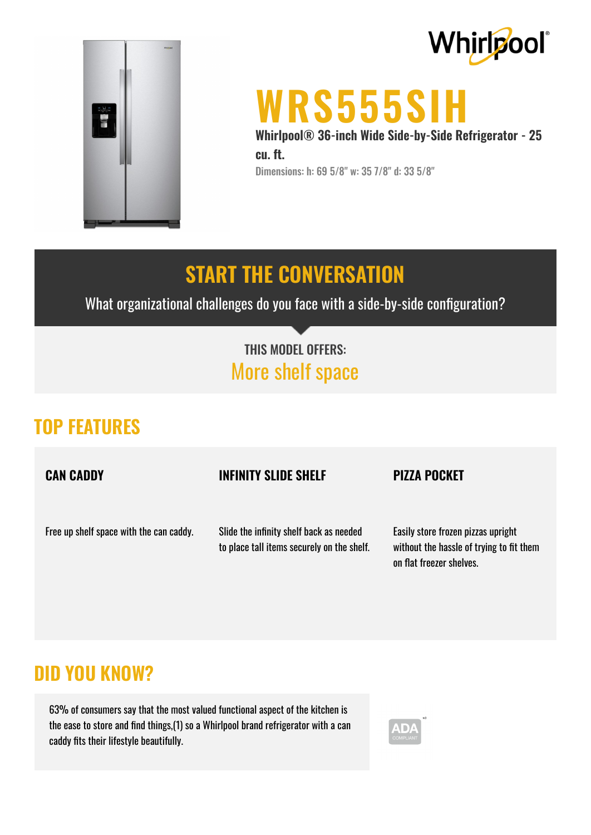



# **WRS555SIH**

**Whirlpool® 36-inch Wide Side-by-Side Refrigerator - 25 cu. ft.** Dimensions: h: 69 5/8" w: 35 7/8" d: 33 5/8"

## **START THE CONVERSATION**

What organizational challenges do you face with a side-by-side configuration?

## THIS MODEL OFFERS: More shelf space

## **TOP FEATURES**

**CAN CADDY**

#### **INFINITY SLIDE SHELF**

#### **PIZZA POCKET**

Free up shelf space with the can caddy.

Slide the infinity shelf back as needed to place tall items securely on the shelf.

Easily store frozen pizzas upright without the hassle of trying to fit them on flat freezer shelves.

### **DID YOU KNOW?**

63% of consumers say that the most valued functional aspect of the kitchen is the ease to store and find things, (1) so a Whirlpool brand refrigerator with a can caddy fits their lifestyle beautifully.